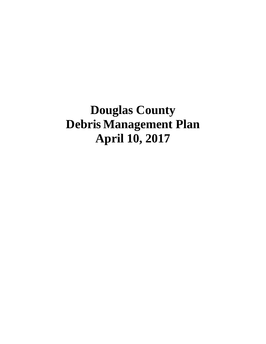**Douglas County Debris Management Plan April 10, 2017**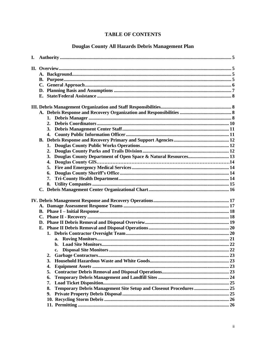# **TABLE OF CONTENTS**

# Douglas County All Hazards Debris Management Plan

| 4.                                                                       |  |
|--------------------------------------------------------------------------|--|
|                                                                          |  |
|                                                                          |  |
| 2.                                                                       |  |
| 3.                                                                       |  |
| 4.                                                                       |  |
|                                                                          |  |
| 5.                                                                       |  |
| 6.                                                                       |  |
| 7.                                                                       |  |
| 8.                                                                       |  |
|                                                                          |  |
|                                                                          |  |
|                                                                          |  |
|                                                                          |  |
|                                                                          |  |
|                                                                          |  |
|                                                                          |  |
|                                                                          |  |
|                                                                          |  |
|                                                                          |  |
|                                                                          |  |
|                                                                          |  |
| 2.                                                                       |  |
| 3.                                                                       |  |
| 4.                                                                       |  |
| 5.                                                                       |  |
| 6.                                                                       |  |
| 7.                                                                       |  |
| Temporary Debris Management Site Setup and Closeout Procedures  25<br>8. |  |
| 9.                                                                       |  |
|                                                                          |  |
|                                                                          |  |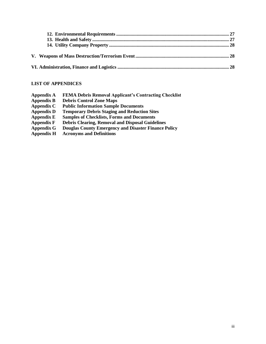# **LIST OF APPENDICES**

| <b>Appendix A</b> | <b>FEMA Debris Removal Applicant's Contracting Checklist</b> |
|-------------------|--------------------------------------------------------------|
| <b>Appendix B</b> | <b>Debris Control Zone Maps</b>                              |
| Appendix C        | <b>Public Information Sample Documents</b>                   |
| <b>Appendix D</b> | <b>Temporary Debris Staging and Reduction Sites</b>          |
| <b>Appendix E</b> | <b>Samples of Checklists, Forms and Documents</b>            |
| <b>Appendix F</b> | <b>Debris Clearing, Removal and Disposal Guidelines</b>      |
| <b>Appendix G</b> | <b>Douglas County Emergency and Disaster Finance Policy</b>  |
| <b>Appendix H</b> | <b>Acronyms and Definitions</b>                              |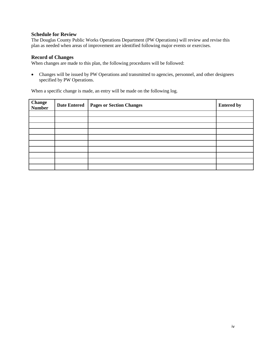## **Schedule for Review**

The Douglas County Public Works Operations Department (PW Operations) will review and revise this plan as needed when areas of improvement are identified following major events or exercises.

## **Record of Changes**

When changes are made to this plan, the following procedures will be followed:

• Changes will be issued by PW Operations and transmitted to agencies, personnel, and other designees specified by PW Operations.

When a specific change is made, an entry will be made on the following log.

| <b>Change</b><br><b>Number</b> | <b>Date Entered</b> | <b>Pages or Section Changes</b> | <b>Entered by</b> |
|--------------------------------|---------------------|---------------------------------|-------------------|
|                                |                     |                                 |                   |
|                                |                     |                                 |                   |
|                                |                     |                                 |                   |
|                                |                     |                                 |                   |
|                                |                     |                                 |                   |
|                                |                     |                                 |                   |
|                                |                     |                                 |                   |
|                                |                     |                                 |                   |
|                                |                     |                                 |                   |
|                                |                     |                                 |                   |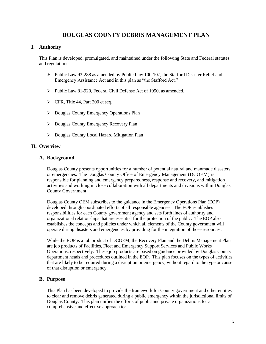# **DOUGLAS COUNTY DEBRIS MANAGEMENT PLAN**

# **I. Authority**

This Plan is developed, promulgated, and maintained under the following State and Federal statutes and regulations:

- $\triangleright$  Public Law 93-288 as amended by Public Law 100-107, the Stafford Disaster Relief and Emergency Assistance Act and in this plan as "the Stafford Act."
- ➢ Public Law 81-920, Federal Civil Defense Act of 1950, as amended.
- $\triangleright$  CFR, Title 44, Part 200 et seq.
- ➢ Douglas County Emergency Operations Plan
- ➢ Douglas County Emergency Recovery Plan
- ➢ Douglas County Local Hazard Mitigation Plan

# **II. Overview**

## **A. Background**

Douglas County presents opportunities for a number of potential natural and manmade disasters or emergencies. The Douglas County Office of Emergency Management (DCOEM) is responsible for planning and emergency preparedness, response and recovery, and mitigation activities and working in close collaboration with all departments and divisions within Douglas County Government.

Douglas County OEM subscribes to the guidance in the Emergency Operations Plan (EOP) developed through coordinated efforts of all responsible agencies. The EOP establishes responsibilities for each County government agency and sets forth lines of authority and organizational relationships that are essential for the protection of the public. The EOP also establishes the concepts and policies under which all elements of the County government will operate during disasters and emergencies by providing for the integration of those resources.

While the EOP is a job product of DCOEM, the Recovery Plan and the Debris Management Plan are job products of Facilities, Fleet and Emergency Support Services and Public Works Operations, respectively. These job products are based on guidance provided by Douglas County department heads and procedures outlined in the EOP. This plan focuses on the types of activities that are likely to be required during a disruption or emergency, without regard to the type or cause of that disruption or emergency.

# **B. Purpose**

This Plan has been developed to provide the framework for County government and other entities to clear and remove debris generated during a public emergency within the jurisdictional limits of Douglas County. This plan unifies the efforts of public and private organizations for a comprehensive and effective approach to: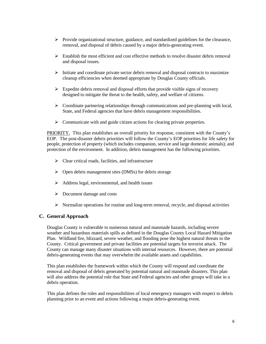- $\triangleright$  Provide organizational structure, guidance, and standardized guidelines for the clearance, removal, and disposal of debris caused by a major debris-generating event.
- $\triangleright$  Establish the most efficient and cost effective methods to resolve disaster debris removal and disposal issues.
- $\triangleright$  Initiate and coordinate private sector debris removal and disposal contracts to maximize cleanup efficiencies when deemed appropriate by Douglas County officials.
- $\triangleright$  Expedite debris removal and disposal efforts that provide visible signs of recovery designed to mitigate the threat to the health, safety, and welfare of citizens.
- ➢ Coordinate partnering relationships through communications and pre-planning with local, State, and Federal agencies that have debris management responsibilities.
- ➢ Communicate with and guide citizen actions for clearing private properties.

PRIORITY. This plan establishes an overall priority for response, consistent with the County's EOP. The post-disaster debris priorities will follow the County's EOP priorities for life safety for people, protection of property (which includes companion, service and large domestic animals); and protection of the environment. In addition, debris management has the following priorities.

- $\triangleright$  Clear critical roads, facilities, and infrastructure
- ➢ Open debris management sites (DMSs) for debris storage
- $\triangleright$  Address legal, environmental, and health issues
- ➢ Document damage and costs
- $\triangleright$  Normalize operations for routine and long-term removal, recycle, and disposal activities

## **C. General Approach**

Douglas County is vulnerable to numerous natural and manmade hazards, including severe weather and hazardous materials spills as defined in the Douglas County Local Hazard Mitigation Plan. Wildland fire, blizzard, severe weather, and flooding pose the highest natural threats to the County. Critical government and private facilities are potential targets for terrorist attack. The County can manage many disaster situations with internal resources. However, there are potential debris-generating events that may overwhelm the available assets and capabilities.

This plan establishes the framework within which the County will respond and coordinate the removal and disposal of debris generated by potential natural and manmade disasters. This plan will also address the potential role that State and Federal agencies and other groups will take in a debris operation.

This plan defines the roles and responsibilities of local emergency managers with respect to debris planning prior to an event and actions following a major debris-generating event.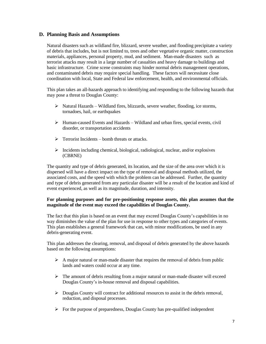## **D. Planning Basis and Assumptions**

Natural disasters such as wildland fire, blizzard, severe weather, and flooding precipitate a variety of debris that includes, but is not limited to, trees and other vegetative organic matter, construction materials, appliances, personal property, mud, and sediment. Man-made disasters such as terrorist attacks may result in a large number of casualties and heavy damage to buildings and basic infrastructure. Crime scene constraints may hinder normal debris management operations, and contaminated debris may require special handling. These factors will necessitate close coordination with local, State and Federal law enforcement, health, and environmental officials.

This plan takes an all-hazards approach to identifying and responding to the following hazards that may pose a threat to Douglas County:

- ➢ Natural Hazards Wildland fires, blizzards, severe weather, flooding, ice storms, tornadoes, hail, or earthquakes
- $\triangleright$  Human-caused Events and Hazards Wildland and urban fires, special events, civil disorder, or transportation accidents
- $\triangleright$  Terrorist Incidents bomb threats or attacks.
- $\triangleright$  Incidents including chemical, biological, radiological, nuclear, and/or explosives (CBRNE)

The quantity and type of debris generated, its location, and the size of the area over which it is dispersed will have a direct impact on the type of removal and disposal methods utilized, the associated costs, and the speed with which the problem can be addressed. Further, the quantity and type of debris generated from any particular disaster will be a result of the location and kind of event experienced, as well as its magnitude, duration, and intensity.

## **For planning purposes and for pre-positioning response assets, this plan assumes that the magnitude of the event may exceed the capabilities of Douglas County.**

The fact that this plan is based on an event that may exceed Douglas County's capabilities in no way diminishes the value of the plan for use in response to other types and categories of events. This plan establishes a general framework that can, with minor modifications, be used in any debris-generating event.

This plan addresses the clearing, removal, and disposal of debris generated by the above hazards based on the following assumptions:

- $\triangleright$  A major natural or man-made disaster that requires the removal of debris from public lands and waters could occur at any time.
- $\triangleright$  The amount of debris resulting from a major natural or man-made disaster will exceed Douglas County's in-house removal and disposal capabilities.
- $\triangleright$  Douglas County will contract for additional resources to assist in the debris removal, reduction, and disposal processes.
- $\triangleright$  For the purpose of preparedness, Douglas County has pre-qualified independent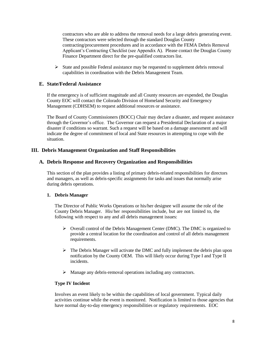contractors who are able to address the removal needs for a large debris generating event. These contractors were selected through the standard Douglas County contracting/procurement procedures and in accordance with the FEMA Debris Removal Applicant's Contracting Checklist (see Appendix A). Please contact the Douglas County Finance Department direct for the pre-qualified contractors list.

 $\triangleright$  State and possible Federal assistance may be requested to supplement debris removal capabilities in coordination with the Debris Management Team.

# **E. State/Federal Assistance**

If the emergency is of sufficient magnitude and all County resources are expended, the Douglas County EOC will contact the Colorado Division of Homeland Security and Emergency Management (CDHSEM) to request additional resources or assistance.

The Board of County Commissioners (BOCC) Chair may declare a disaster, and request assistance through the Governor's office. The Governor can request a Presidential Declaration of a major disaster if conditions so warrant. Such a request will be based on a damage assessment and will indicate the degree of commitment of local and State resources in attempting to cope with the situation.

# **III. Debris Management Organization and Staff Responsibilities**

# **A. Debris Response and Recovery Organization and Responsibilities**

This section of the plan provides a listing of primary debris-related responsibilities for directors and managers, as well as debris-specific assignments for tasks and issues that normally arise during debris operations.

## **1. Debris Manager**

The Director of Public Works Operations or his/her designee will assume the role of the County Debris Manager. His/her responsibilities include, but are not limited to, the following with respect to any and all debris management issues:

- $\triangleright$  Overall control of the Debris Management Center (DMC). The DMC is organized to provide a central location for the coordination and control of all debris management requirements.
- ➢ The Debris Manager will activate the DMC and fully implement the debris plan upon notification by the County OEM. This will likely occur during Type I and Type II incidents.
- ➢ Manage any debris-removal operations including any contractors.

# **Type IV Incident**

Involves an event likely to be within the capabilities of local government. Typical daily activities continue while the event is monitored. Notification is limited to those agencies that have normal day-to-day emergency responsibilities or regulatory requirements. EOC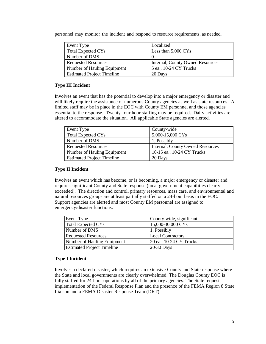personnel may monitor the incident and respond to resource requirements, as needed.

| Event Type                        | Localized                        |
|-----------------------------------|----------------------------------|
| <b>Total Expected CYs</b>         | Less than $5,000 \text{ CYs}$    |
| Number of DMS                     |                                  |
| <b>Requested Resources</b>        | Internal, County Owned Resources |
| Number of Hauling Equipment       | 5 ea., 10-24 CY Trucks           |
| <b>Estimated Project Timeline</b> | 20 Days                          |

## **Type III Incident**

Involves an event that has the potential to develop into a major emergency or disaster and will likely require the assistance of numerous County agencies as well as state resources. A limited staff may be in place in the EOC with County EM personnel and those agencies essential to the response. Twenty-four hour staffing may be required. Daily activities are altered to accommodate the situation. All applicable State agencies are alerted.

| Event Type                        | County-wide                      |
|-----------------------------------|----------------------------------|
| <b>Total Expected CYs</b>         | 5,000-15,000 CYs                 |
| Number of DMS                     | 1, Possibly                      |
| <b>Requested Resources</b>        | Internal, County Owned Resources |
| Number of Hauling Equipment       | 10-15 ea., 10-24 CY Trucks       |
| <b>Estimated Project Timeline</b> | 20 Days                          |

## **Type II Incident**

Involves an event which has become, or is becoming, a major emergency or disaster and requires significant County and State response (local government capabilities clearly exceeded). The direction and control, primary resources, mass care, and environmental and natural resources groups are at least partially staffed on a 24-hour basis in the EOC. Support agencies are alerted and most County EM personnel are assigned to emergency/disaster functions.

| Event Type                        | County-wide, significant |
|-----------------------------------|--------------------------|
| <b>Total Expected CYs</b>         | 15,000-30,000 CYs        |
| Number of DMS                     | 1, Possibly              |
| <b>Requested Resources</b>        | <b>Local Contractors</b> |
| Number of Hauling Equipment       | 20 ea., 10-24 CY Trucks  |
| <b>Estimated Project Timeline</b> | 20-30 Days               |

## **Type I Incident**

Involves a declared disaster, which requires an extensive County and State response where the State and local governments are clearly overwhelmed. The Douglas County EOC is fully staffed for 24-hour operations by all of the primary agencies. The State requests implementation of the Federal Response Plan and the presence of the FEMA Region 8 State Liaison and a FEMA Disaster Response Team (DRT).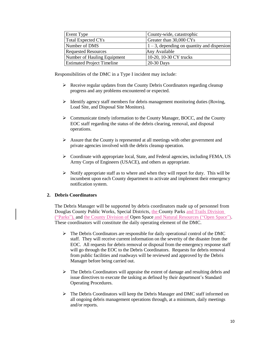| Event Type                        | County-wide, catastrophic                      |
|-----------------------------------|------------------------------------------------|
| Total Expected CYs                | Greater than 30,000 CYs                        |
| Number of DMS                     | $1 - 3$ , depending on quantity and dispersion |
| <b>Requested Resources</b>        | Any Available                                  |
| Number of Hauling Equipment       | 10-20, 10-30 CY trucks                         |
| <b>Estimated Project Timeline</b> | $20-30$ Days                                   |

Responsibilities of the DMC in a Type I incident may include:

- ➢ Receive regular updates from the County Debris Coordinators regarding cleanup progress and any problems encountered or expected.
- $\triangleright$  Identify agency staff members for debris management monitoring duties (Roving, Load Site, and Disposal Site Monitors).
- ➢ Communicate timely information to the County Manager, BOCC, and the County EOC staff regarding the status of the debris clearing, removal, and disposal operations.
- ➢ Assure that the County is represented at all meetings with other government and private agencies involved with the debris cleanup operation.
- ➢ Coordinate with appropriate local, State, and Federal agencies, including FEMA, US Army Corps of Engineers (USACE), and others as appropriate.
- $\triangleright$  Notify appropriate staff as to where and when they will report for duty. This will be incumbent upon each County department to activate and implement their emergency notification system.

## **2. Debris Coordinators**

The Debris Manager will be supported by debris coordinators made up of personnel from Douglas County Public Works, Special Districts, the County Parks and Trails Division ("Parks"), and the County Division of Open Space and Natural Resources ("Open Space"). These coordinators will constitute the daily operating element of the DMC.

- $\triangleright$  The Debris Coordinators are responsible for daily operational control of the DMC staff. They will receive current information on the severity of the disaster from the EOC. All requests for debris removal or disposal from the emergency response staff will go through the EOC to the Debris Coordinators. Requests for debris removal from public facilities and roadways will be reviewed and approved by the Debris Manager before being carried out.
- ➢ The Debris Coordinators will appraise the extent of damage and resulting debris and issue directives to execute the tasking as defined by their department's Standard Operating Procedures.
- ➢ The Debris Coordinators will keep the Debris Manager and DMC staff informed on all ongoing debris management operations through, at a minimum, daily meetings and/or reports.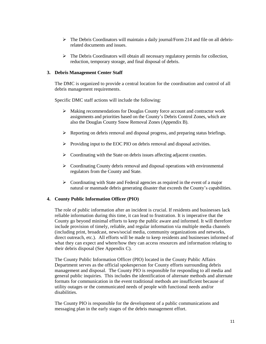- $\triangleright$  The Debris Coordinators will maintain a daily journal/Form 214 and file on all debrisrelated documents and issues.
- $\triangleright$  The Debris Coordinators will obtain all necessary regulatory permits for collection, reduction, temporary storage, and final disposal of debris.

## **3. Debris Management Center Staff**

The DMC is organized to provide a central location for the coordination and control of all debris management requirements.

Specific DMC staff actions will include the following:

- ➢ Making recommendations for Douglas County force account and contractor work assignments and priorities based on the County's Debris Control Zones, which are also the Douglas County Snow Removal Zones (Appendix B).
- $\triangleright$  Reporting on debris removal and disposal progress, and preparing status briefings.
- ➢ Providing input to the EOC PIO on debris removal and disposal activities.
- ➢ Coordinating with the State on debris issues affecting adjacent counties.
- $\triangleright$  Coordinating County debris removal and disposal operations with environmental regulators from the County and State.
- $\triangleright$  Coordinating with State and Federal agencies as required in the event of a major natural or manmade debris generating disaster that exceeds the County's capabilities.

# **4. County Public Information Officer (PIO)**

The role of public information after an incident is crucial. If residents and businesses lack reliable information during this time, it can lead to frustration. It is imperative that the County go beyond minimal efforts to keep the public aware and informed. It will therefore include provision of timely, reliable, and regular information via multiple media channels (including print, broadcast, news/social media, community organizations and networks, direct outreach, etc.). All efforts will be made to keep residents and businesses informed of what they can expect and where/how they can access resources and information relating to their debris disposal (See Appendix C).

The County Public Information Officer (PIO) located in the County Public Affairs Department serves as the official spokesperson for County efforts surrounding debris management and disposal. The County PIO is responsible for responding to all media and general public inquiries. This includes the identification of alternate methods and alternate formats for communication in the event traditional methods are insufficient because of utility outages or the communicated needs of people with functional needs and/or disabilities.

The County PIO is responsible for the development of a public communications and messaging plan in the early stages of the debris management effort.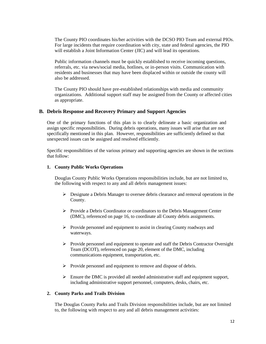The County PIO coordinates his/her activities with the DCSO PIO Team and external PIOs. For large incidents that require coordination with city, state and federal agencies, the PIO will establish a Joint Information Center (JIC) and will lead its operations.

Public information channels must be quickly established to receive incoming questions, referrals, etc. via news/social media, hotlines, or in-person visits. Communication with residents and businesses that may have been displaced within or outside the county will also be addressed.

The County PIO should have pre-established relationships with media and community organizations. Additional support staff may be assigned from the County or affected cities as appropriate.

## **B. Debris Response and Recovery Primary and Support Agencies**

One of the primary functions of this plan is to clearly delineate a basic organization and assign specific responsibilities. During debris operations, many issues will arise that are not specifically mentioned in this plan. However, responsibilities are sufficiently defined so that unexpected issues can be assigned and resolved efficiently.

Specific responsibilities of the various primary and supporting agencies are shown in the sections that follow:

#### **1. County Public Works Operations**

Douglas County Public Works Operations responsibilities include, but are not limited to, the following with respect to any and all debris management issues:

- $\triangleright$  Designate a Debris Manager to oversee debris clearance and removal operations in the County.
- $\triangleright$  Provide a Debris Coordinator or coordinators to the Debris Management Center (DMC), referenced on page 16, to coordinate all County debris assignments.
- ➢ Provide personnel and equipment to assist in clearing County roadways and waterways.
- $\triangleright$  Provide personnel and equipment to operate and staff the Debris Contractor Oversight Team (DCOT), referenced on page 20, element of the DMC, including communications equipment, transportation, etc.
- ➢ Provide personnel and equipment to remove and dispose of debris.
- ➢ Ensure the DMC is provided all needed administrative staff and equipment support, including administrative support personnel, computers, desks, chairs, etc.

#### **2. County Parks and Trails Division**

The Douglas County Parks and Trails Division responsibilities include, but are not limited to, the following with respect to any and all debris management activities: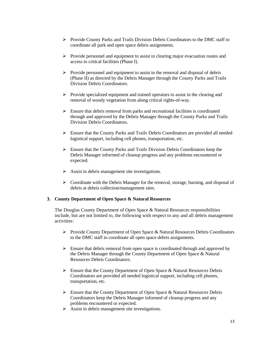- ➢ Provide County Parks and Trails Division Debris Coordinators to the DMC staff to coordinate all park and open space debris assignments.
- $\triangleright$  Provide personnel and equipment to assist in clearing major evacuation routes and access to critical facilities (Phase I).
- ➢ Provide personnel and equipment to assist in the removal and disposal of debris (Phase II) as directed by the Debris Manager through the County Parks and Trails Division Debris Coordinators.
- ➢ Provide specialized equipment and trained operators to assist in the clearing and removal of woody vegetation from along critical rights-of-way.
- $\triangleright$  Ensure that debris removal from parks and recreational facilities is coordinated through and approved by the Debris Manager through the County Parks and Trails Division Debris Coordinators.
- $\triangleright$  Ensure that the County Parks and Trails Debris Coordinators are provided all needed logistical support, including cell phones, transportation, etc.
- ➢ Ensure that the County Parks and Trails Division Debris Coordinators keep the Debris Manager informed of cleanup progress and any problems encountered or expected.
- $\triangleright$  Assist in debris management site investigations.
- $\triangleright$  Coordinate with the Debris Manager for the removal, storage, burning, and disposal of debris at debris collection/management sites.

#### **3. County Department of Open Space & Natural Resources**

The Douglas County Department of Open Space & Natural Resources responsibilities include, but are not limited to, the following with respect to any and all debris management activities:

- ➢ Provide County Department of Open Space & Natural Resources Debris Coordinators to the DMC staff to coordinate all open space debris assignments.
- ➢ Ensure that debris removal from open space is coordinated through and approved by the Debris Manager through the County Department of Open Space & Natural Resources Debris Coordinators.
- ➢ Ensure that the County Department of Open Space & Natural Resources Debris Coordinators are provided all needed logistical support, including cell phones, transportation, etc.
- ➢ Ensure that the County Department of Open Space & Natural Resources Debris Coordinators keep the Debris Manager informed of cleanup progress and any problems encountered or expected.
- $\triangleright$  Assist in debris management site investigations.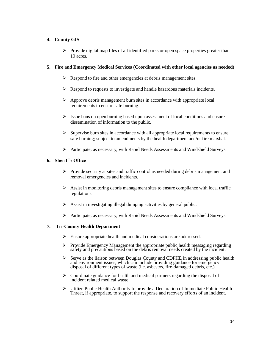## **4. County GIS**

 $\triangleright$  Provide digital map files of all identified parks or open space properties greater than 10 acres.

## **5. Fire and Emergency Medical Services (Coordinated with other local agencies as needed)**

- ➢ Respond to fire and other emergencies at debris management sites.
- $\triangleright$  Respond to requests to investigate and handle hazardous materials incidents.
- ➢ Approve debris management burn sites in accordance with appropriate local requirements to ensure safe burning.
- $\triangleright$  Issue bans on open burning based upon assessment of local conditions and ensure dissemination of information to the public.
- $\triangleright$  Supervise burn sites in accordance with all appropriate local requirements to ensure safe burning; subject to amendments by the health department and/or fire marshal.
- ➢ Participate, as necessary, with Rapid Needs Assessments and Windshield Surveys.

## **6. Sheriff's Office**

- $\triangleright$  Provide security at sites and traffic control as needed during debris management and removal emergencies and incidents.
- $\triangleright$  Assist in monitoring debris management sites to ensure compliance with local traffic regulations.
- $\triangleright$  Assist in investigating illegal dumping activities by general public.
- ➢ Participate, as necessary, with Rapid Needs Assessments and Windshield Surveys.

## **7. Tri-County Health Department**

- ➢ Ensure appropriate health and medical considerations are addressed.
- ➢ Provide Emergency Management the appropriate public health messaging regarding safety and precautions based on the debris removal needs created by the incident.
- ➢ Serve as the liaison between Douglas County and CDPHE in addressing public health and environment issues, which can include providing guidance for emergency disposal of different types of waste (i.e. asbestos, fire-damaged debris, etc.).
- $\triangleright$  Coordinate guidance for health and medical partners regarding the disposal of incident related medical waste.
- ➢ Utilize Public Health Authority to provide a Declaration of Immediate Public Health Threat, if appropriate, to support the response and recovery efforts of an incident.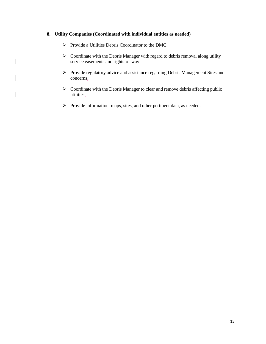## **8. Utility Companies (Coordinated with individual entities as needed)**

➢ Provide a Utilities Debris Coordinator to the DMC.

 $\overline{\phantom{a}}$ 

- ➢ Coordinate with the Debris Manager with regard to debris removal along utility service easements and rights-of-way.
- ➢ Provide regulatory advice and assistance regarding Debris Management Sites and concerns.
- ➢ Coordinate with the Debris Manager to clear and remove debris affecting public utilities.
- ➢ Provide information, maps, sites, and other pertinent data, as needed.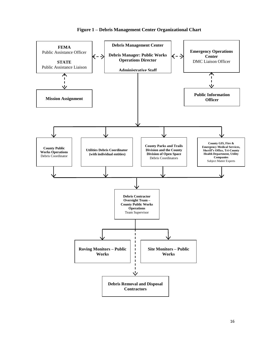

## **Figure 1 – Debris Management Center Organizational Chart**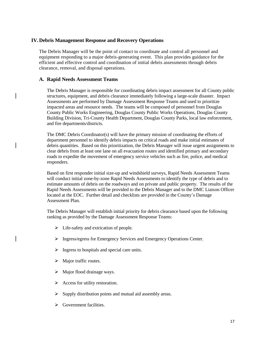## **IV.Debris Management Response and Recovery Operations**

The Debris Manager will be the point of contact to coordinate and control all personnel and equipment responding to a major debris-generating event. This plan provides guidance for the efficient and effective control and coordination of initial debris assessments through debris clearance, removal, and disposal operations.

## **A. Rapid Needs Assessment Teams**

The Debris Manager is responsible for coordinating debris impact assessment for all County public structures, equipment, and debris clearance immediately following a large-scale disaster. Impact Assessments are performed by Damage Assessment Response Teams and used to prioritize impacted areas and resource needs. The teams will be composed of personnel from Douglas County Public Works Engineering, Douglas County Public Works Operations, Douglas County Building Division, Tri-County Health Department, Douglas County Parks, local law enforcement, and fire departments/districts.

The DMC Debris Coordinator(s) will have the primary mission of coordinating the efforts of department personnel to identify debris impacts on critical roads and make initial estimates of debris quantities. Based on this prioritization, the Debris Manager will issue urgent assignments to clear debris from at least one lane on all evacuation routes and identified primary and secondary roads to expedite the movement of emergency service vehicles such as fire, police, and medical responders.

Based on first responder initial size-up and windshield surveys, Rapid Needs Assessment Teams will conduct initial zone-by-zone Rapid Needs Assessments to identify the type of debris and to estimate amounts of debris on the roadways and on private and public property. The results of the Rapid Needs Assessments will be provided to the Debris Manager and to the DMC Liaison Officer located at the EOC. Further detail and checklists are provided in the County's Damage Assessment Plan.

The Debris Manager will establish initial priority for debris clearance based upon the following ranking as provided by the Damage Assessment Response Teams:

- $\triangleright$  Life-safety and extrication of people.
- ➢ Ingress/egress for Emergency Services and Emergency Operations Center.
- $\triangleright$  Ingress to hospitals and special care units.
- ➢ Major traffic routes.
- $\triangleright$  Major flood drainage ways.
- ➢ Access for utility restoration.
- ➢ Supply distribution points and mutual aid assembly areas.
- $\triangleright$  Government facilities.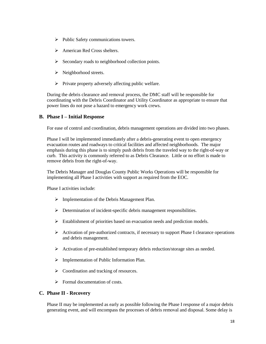- ➢ Public Safety communications towers.
- ➢ American Red Cross shelters.
- ➢ Secondary roads to neighborhood collection points.
- $\triangleright$  Neighborhood streets.
- ➢ Private property adversely affecting public welfare.

During the debris clearance and removal process, the DMC staff will be responsible for coordinating with the Debris Coordinator and Utility Coordinator as appropriate to ensure that power lines do not pose a hazard to emergency work crews.

# **B. Phase I – Initial Response**

For ease of control and coordination, debris management operations are divided into two phases.

Phase I will be implemented immediately after a debris-generating event to open emergency evacuation routes and roadways to critical facilities and affected neighborhoods. The major emphasis during this phase is to simply push debris from the traveled way to the right-of-way or curb. This activity is commonly referred to as Debris Clearance. Little or no effort is made to remove debris from the right-of-way.

The Debris Manager and Douglas County Public Works Operations will be responsible for implementing all Phase I activities with support as required from the EOC.

Phase I activities include:

- ➢ Implementation of the Debris Management Plan.
- ➢ Determination of incident-specific debris management responsibilities.
- ➢ Establishment of priorities based on evacuation needs and prediction models.
- $\triangleright$  Activation of pre-authorized contracts, if necessary to support Phase I clearance operations and debris management.
- ➢ Activation of pre-established temporary debris reduction/storage sites as needed.
- ➢ Implementation of Public Information Plan.
- $\triangleright$  Coordination and tracking of resources.
- $\triangleright$  Formal documentation of costs.

# **C. Phase II - Recovery**

Phase II may be implemented as early as possible following the Phase I response of a major debris generating event, and will encompass the processes of debris removal and disposal. Some delay is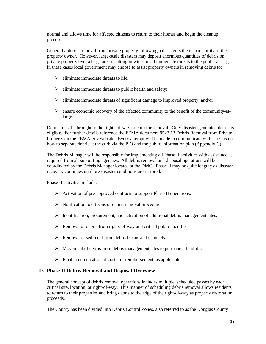normal and allows time for affected citizens to return to their homes and begin the cleanup process.

Generally, debris removal from private property following a disaster is the responsibility of the property owner. However, large-scale disasters may deposit enormous quantities of debris on private property over a large area resulting in widespread immediate threats to the public-at-large. In these cases local government may choose to assist property owners in removing debris to:

- $\triangleright$  eliminate immediate threats to life,
- $\triangleright$  eliminate immediate threats to public health and safety;
- ➢ eliminate immediate threats of significant damage to improved property; and/or
- $\triangleright$  ensure economic recovery of the affected community to the benefit of the community-atlarge.

Debris must be brought to the rights-of-way or curb for removal. Only disaster-generated debris is eligible. For further details reference the FEMA document 9523.13 Debris Removal from Private Property on the FEMA.gov website. Every attempt will be made to communicate with citizens on how to separate debris at the curb via the PIO and the public information plan (Appendix C).

The Debris Manager will be responsible for implementing all Phase II activities with assistance as required from all supporting agencies. All debris removal and disposal operations will be coordinated by the Debris Manager located at the DMC. Phase II may be quite lengthy as disaster recovery continues until pre-disaster conditions are restored.

Phase II activities include:

- ➢ Activation of pre-approved contracts to support Phase II operations.
- ➢ Notification to citizens of debris removal procedures.
- $\triangleright$  Identification, procurement, and activation of additional debris management sites.
- ➢ Removal of debris from rights-of-way and critical public facilities.
- $\triangleright$  Removal of sediment from debris basins and channels.
- ➢ Movement of debris from debris management sites to permanent landfills.
- ➢ Final documentation of costs for reimbursement, as applicable.

# **D. Phase II Debris Removal and Disposal Overview**

The general concept of debris removal operations includes multiple, scheduled passes by each critical site, location, or right-of-way. This manner of scheduling debris removal allows residents to return to their properties and bring debris to the edge of the right-of-way as property restoration proceeds.

The County has been divided into Debris Control Zones, also referred to as the Douglas County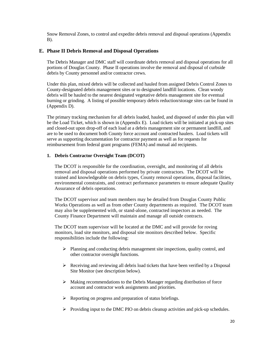Snow Removal Zones, to control and expedite debris removal and disposal operations (Appendix  $B$ ).

# **E. Phase II Debris Removal and Disposal Operations**

The Debris Manager and DMC staff will coordinate debris removal and disposal operations for all portions of Douglas County. Phase II operations involve the removal and disposal of curbside debris by County personnel and/or contractor crews.

Under this plan, mixed debris will be collected and hauled from assigned Debris Control Zones to County-designated debris management sites or to designated landfill locations. Clean woody debris will be hauled to the nearest designated vegetative debris management site for eventual burning or grinding. A listing of possible temporary debris reduction/storage sites can be found in (Appendix D).

The primary tracking mechanism for all debris loaded, hauled, and disposed of under this plan will be the Load Ticket, which is shown in (Appendix E). Load tickets will be initiated at pick-up sites and closed-out upon drop-off of each load at a debris management site or permanent landfill, and are to be used to document both County force account and contracted haulers. Load tickets will serve as supporting documentation for contractor payment as well as for requests for reimbursement from federal grant programs (FEMA) and mutual aid recipients.

## **1. Debris Contractor Oversight Team (DCOT)**

The DCOT is responsible for the coordination, oversight, and monitoring of all debris removal and disposal operations performed by private contractors. The DCOT will be trained and knowledgeable on debris types, County removal operations, disposal facilities, environmental constraints, and contract performance parameters to ensure adequate Quality Assurance of debris operations.

The DCOT supervisor and team members may be detailed from Douglas County Public Works Operations as well as from other County departments as required. The DCOT team may also be supplemented with, or stand-alone, contracted inspectors as needed. The County Finance Department will maintain and manage all outside contracts.

The DCOT team supervisor will be located at the DMC and will provide for roving monitors, load site monitors, and disposal site monitors described below. Specific responsibilities include the following:

- $\triangleright$  Planning and conducting debris management site inspections, quality control, and other contractor oversight functions.
- $\triangleright$  Receiving and reviewing all debris load tickets that have been verified by a Disposal Site Monitor (see description below).
- $\triangleright$  Making recommendations to the Debris Manager regarding distribution of force account and contractor work assignments and priorities.
- ➢ Reporting on progress and preparation of status briefings.
- $\triangleright$  Providing input to the DMC PIO on debris cleanup activities and pick-up schedules.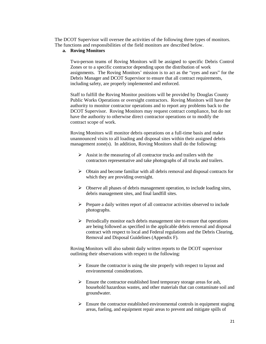The DCOT Supervisor will oversee the activities of the following three types of monitors. The functions and responsibilities of the field monitors are described below.

## **a. Roving Monitors**

Two-person teams of Roving Monitors will be assigned to specific Debris Control Zones or to a specific contractor depending upon the distribution of work assignments. The Roving Monitors' mission is to act as the "eyes and ears" for the Debris Manager and DCOT Supervisor to ensure that all contract requirements, including safety, are properly implemented and enforced.

Staff to fulfill the Roving Monitor positions will be provided by Douglas County Public Works Operations or oversight contractors. Roving Monitors will have the authority to monitor contractor operations and to report any problems back to the DCOT Supervisor. Roving Monitors may request contract compliance, but do not have the authority to otherwise direct contractor operations or to modify the contract scope of work.

Roving Monitors will monitor debris operations on a full-time basis and make unannounced visits to all loading and disposal sites within their assigned debris management zone(s). In addition, Roving Monitors shall do the following:

- ➢ Assist in the measuring of all contractor trucks and trailers with the contractors representative and take photographs of all trucks and trailers.
- ➢ Obtain and become familiar with all debris removal and disposal contracts for which they are providing oversight.
- $\triangleright$  Observe all phases of debris management operation, to include loading sites, debris management sites, and final landfill sites.
- ➢ Prepare a daily written report of all contractor activities observed to include photographs.
- $\triangleright$  Periodically monitor each debris management site to ensure that operations are being followed as specified in the applicable debris removal and disposal contract with respect to local and Federal regulations and the Debris Clearing, Removal and Disposal Guidelines (Appendix F).

Roving Monitors will also submit daily written reports to the DCOT supervisor outlining their observations with respect to the following:

- $\triangleright$  Ensure the contractor is using the site properly with respect to layout and environmental considerations.
- ➢ Ensure the contractor established lined temporary storage areas for ash, household hazardous wastes, and other materials that can contaminate soil and groundwater.
- $\triangleright$  Ensure the contractor established environmental controls in equipment staging areas, fueling, and equipment repair areas to prevent and mitigate spills of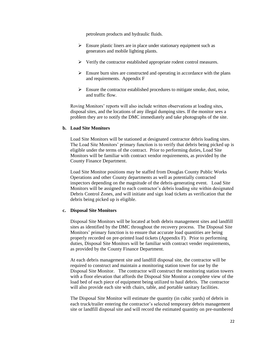petroleum products and hydraulic fluids.

- $\triangleright$  Ensure plastic liners are in place under stationary equipment such as generators and mobile lighting plants.
- ➢ Verify the contractor established appropriate rodent control measures.
- $\triangleright$  Ensure burn sites are constructed and operating in accordance with the plans and requirements. Appendix F
- $\triangleright$  Ensure the contractor established procedures to mitigate smoke, dust, noise, and traffic flow.

Roving Monitors' reports will also include written observations at loading sites, disposal sites, and the locations of any illegal dumping sites. If the monitor sees a problem they are to notify the DMC immediately and take photographs of the site.

#### **b. Load Site Monitors**

Load Site Monitors will be stationed at designated contractor debris loading sites. The Load Site Monitors' primary function is to verify that debris being picked up is eligible under the terms of the contract. Prior to performing duties, Load Site Monitors will be familiar with contract vendor requirements, as provided by the County Finance Department.

Load Site Monitor positions may be staffed from Douglas County Public Works Operations and other County departments as well as potentially contracted inspectors depending on the magnitude of the debris-generating event. Load Site Monitors will be assigned to each contractor's debris loading site within designated Debris Control Zones, and will initiate and sign load tickets as verification that the debris being picked up is eligible.

#### **c. Disposal Site Monitors**

Disposal Site Monitors will be located at both debris management sites and landfill sites as identified by the DMC throughout the recovery process. The Disposal Site Monitors' primary function is to ensure that accurate load quantities are being properly recorded on pre-printed load tickets (Appendix F). Prior to performing duties, Disposal Site Monitors will be familiar with contract vender requirements, as provided by the County Finance Department.

At each debris management site and landfill disposal site, the contractor will be required to construct and maintain a monitoring station tower for use by the Disposal Site Monitor. The contractor will construct the monitoring station towers with a floor elevation that affords the Disposal Site Monitor a complete view of the load bed of each piece of equipment being utilized to haul debris. The contractor will also provide each site with chairs, table, and portable sanitary facilities.

The Disposal Site Monitor will estimate the quantity (in cubic yards) of debris in each truck/trailer entering the contractor's selected temporary debris management site or landfill disposal site and will record the estimated quantity on pre-numbered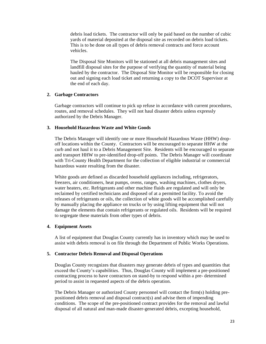debris load tickets. The contractor will only be paid based on the number of cubic yards of material deposited at the disposal site as recorded on debris load tickets. This is to be done on all types of debris removal contracts and force account vehicles.

The Disposal Site Monitors will be stationed at all debris management sites and landfill disposal sites for the purpose of verifying the quantity of material being hauled by the contractor. The Disposal Site Monitor will be responsible for closing out and signing each load ticket and returning a copy to the DCOT Supervisor at the end of each day.

#### **2. Garbage Contractors**

Garbage contractors will continue to pick up refuse in accordance with current procedures, routes, and removal schedules. They will not haul disaster debris unless expressly authorized by the Debris Manager.

#### **3. Household Hazardous Waste and White Goods**

The Debris Manager will identify one or more Household Hazardous Waste (HHW) dropoff locations within the County. Contractors will be encouraged to separate HHW at the curb and not haul it to a Debris Management Site. Residents will be encouraged to separate and transport HHW to pre-identified drop-off points. The Debris Manager will coordinate with Tri-County Health Department for the collection of eligible industrial or commercial hazardous waste resulting from the disaster.

White goods are defined as discarded household appliances including, refrigerators, freezers, air conditioners, heat pumps, ovens, ranges, washing machines, clothes dryers, water heaters, etc. Refrigerants and other machine fluids are regulated and will only be reclaimed by certified technicians and disposed of at a permitted facility. To avoid the releases of refrigerants or oils, the collection of white goods will be accomplished carefully by manually placing the appliance on trucks or by using lifting equipment that will not damage the elements that contain refrigerants or regulated oils. Residents will be required to segregate these materials from other types of debris.

#### **4. Equipment Assets**

A list of equipment that Douglas County currently has in inventory which may be used to assist with debris removal is on file through the Department of Public Works Operations.

#### **5. Contractor Debris Removal and Disposal Operations**

Douglas County recognizes that disasters may generate debris of types and quantities that exceed the County's capabilities. Thus, Douglas County will implement a pre-positioned contracting process to have contractors on stand-by to respond within a pre- determined period to assist in requested aspects of the debris operation.

The Debris Manager or authorized County personnel will contact the firm(s) holding prepositioned debris removal and disposal contract(s) and advise them of impending conditions. The scope of the pre-positioned contract provides for the removal and lawful disposal of all natural and man-made disaster-generated debris, excepting household,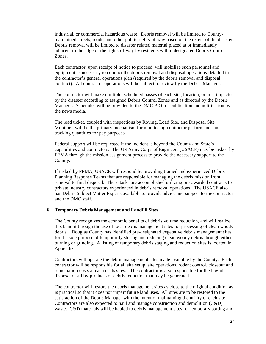industrial, or commercial hazardous waste. Debris removal will be limited to Countymaintained streets, roads, and other public rights-of-way based on the extent of the disaster. Debris removal will be limited to disaster related material placed at or immediately adjacent to the edge of the rights-of-way by residents within designated Debris Control Zones.

Each contractor, upon receipt of notice to proceed, will mobilize such personnel and equipment as necessary to conduct the debris removal and disposal operations detailed in the contractor's general operations plan (required by the debris removal and disposal contract). All contractor operations will be subject to review by the Debris Manager.

The contractor will make multiple, scheduled passes of each site, location, or area impacted by the disaster according to assigned Debris Control Zones and as directed by the Debris Manager. Schedules will be provided to the DMC PIO for publication and notification by the news media.

The load ticket, coupled with inspections by Roving, Load Site, and Disposal Site Monitors, will be the primary mechanism for monitoring contractor performance and tracking quantities for pay purposes.

Federal support will be requested if the incident is beyond the County and State's capabilities and contractors. The US Army Corps of Engineers (USACE) may be tasked by FEMA through the mission assignment process to provide the necessary support to the County.

If tasked by FEMA, USACE will respond by providing trained and experienced Debris Planning Response Teams that are responsible for managing the debris mission from removal to final disposal. These tasks are accomplished utilizing pre-awarded contracts to private industry contractors experienced in debris removal operations. The USACE also has Debris Subject Matter Experts available to provide advice and support to the contractor and the DMC staff.

#### **6. Temporary Debris Management and Landfill Sites**

The County recognizes the economic benefits of debris volume reduction, and will realize this benefit through the use of local debris management sites for processing of clean woody debris. Douglas County has identified pre-designated vegetative debris management sites for the sole purpose of temporarily storing and reducing clean woody debris through either burning or grinding. A listing of temporary debris staging and reduction sites is located in Appendix D.

Contractors will operate the debris management sites made available by the County. Each contractor will be responsible for all site setup, site operations, rodent control, closeout and remediation costs at each of its sites. The contractor is also responsible for the lawful disposal of all by-products of debris reduction that may be generated.

The contractor will restore the debris management sites as close to the original condition as is practical so that it does not impair future land uses. All sites are to be restored to the satisfaction of the Debris Manager with the intent of maintaining the utility of each site. Contractors are also expected to haul and manage construction and demolition (C&D) waste. C&D materials will be hauled to debris management sites for temporary sorting and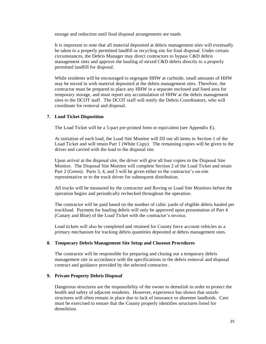storage and reduction until final disposal arrangements are made.

It is important to note that all material deposited at debris management sites will eventually be taken to a properly permitted landfill or recycling site for final disposal. Under certain circumstances, the Debris Manager may direct contractors to bypass C&D debris management sites and approve the hauling of mixed C&D debris directly to a properly permitted landfill for disposal.

While residents will be encouraged to segregate HHW at curbside, small amounts of HHW may be mixed in with material deposited at the debris management sites. Therefore, the contractor must be prepared to place any HHW in a separate enclosed and lined area for temporary storage, and must report any accumulation of HHW at the debris management sites to the DCOT staff. The DCOT staff will notify the Debris Coordinators, who will coordinate for removal and disposal.

## **7. Load Ticket Disposition**

The Load Ticket will be a 5-part pre-printed form or equivalent (see Appendix E).

At initiation of each load, the Load Site Monitor will fill out all items in Section 1 of the Load Ticket and will retain Part 1 (White Copy). The remaining copies will be given to the driver and carried with the load to the disposal site.

Upon arrival at the disposal site, the driver will give all four copies to the Disposal Site Monitor. The Disposal Site Monitor will complete Section 2 of the Load Ticket and retain Part 2 (Green). Parts 3, 4, and 5 will be given either to the contractor's on-site representative or to the truck driver for subsequent distribution.

All trucks will be measured by the contractor and Roving or Load Site Monitors before the operation begins and periodically rechecked throughout the operation.

The contractor will be paid based on the number of cubic yards of eligible debris hauled per truckload. Payment for hauling debris will only be approved upon presentation of Part 4 (Canary and Blue) of the Load Ticket with the contractor's invoice.

Load tickets will also be completed and retained for County force account vehicles as a primary mechanism for tracking debris quantities deposited at debris management sites.

#### **8. Temporary Debris Management Site Setup and Closeout Procedures**

The contractor will be responsible for preparing and closing out a temporary debris management site in accordance with the specifications in the debris removal and disposal contract and guidance provided by the selected contractor.

#### **9. Private Property Debris Disposal**

Dangerous structures are the responsibility of the owner to demolish in order to protect the health and safety of adjacent residents. However, experience has shown that unsafe structures will often remain in place due to lack of insurance or absentee landlords. Care must be exercised to ensure that the County properly identifies structures listed for demolition.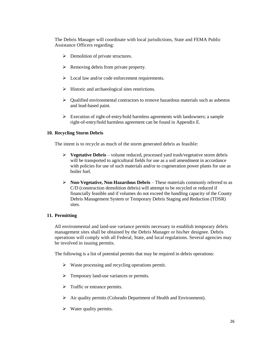The Debris Manager will coordinate with local jurisdictions, State and FEMA Public Assistance Officers regarding:

- ➢ Demolition of private structures.
- ➢ Removing debris from private property.
- $\triangleright$  Local law and/or code enforcement requirements.
- ➢ Historic and archaeological sites restrictions.
- $\triangleright$  Qualified environmental contractors to remove hazardous materials such as asbestos and lead-based paint.
- ➢ Execution of right-of-entry/hold harmless agreements with landowners; a sample right-of-entry/hold harmless agreement can be found in Appendix E.

## **10. Recycling Storm Debris**

The intent is to recycle as much of the storm generated debris as feasible:

- ➢ **Vegetative Debris** volume reduced, processed yard trash/vegetative storm debris will be transported to agricultural fields for use as a soil amendment in accordance with policies for use of such materials and/or to cogeneration power plants for use as boiler fuel.
- ➢ **Non-Vegetative, Non Hazardous Debris** These materials commonly referred to as C/D (construction demolition debris) will attempt to be recycled or reduced if financially feasible and if volumes do not exceed the handling capacity of the County Debris Management System or Temporary Debris Staging and Reduction (TDSR) sites.

# **11. Permitting**

All environmental and land-use variance permits necessary to establish temporary debris management sites shall be obtained by the Debris Manager or his/her designee. Debris operations will comply with all Federal, State, and local regulations. Several agencies may be involved in issuing permits.

The following is a list of potential permits that may be required in debris operations:

- ➢ Waste processing and recycling operations permit.
- ➢ Temporary land-use variances or permits.
- ➢ Traffic or entrance permits.
- ➢ Air quality permits (Colorado Department of Health and Environment).
- $\triangleright$  Water quality permits.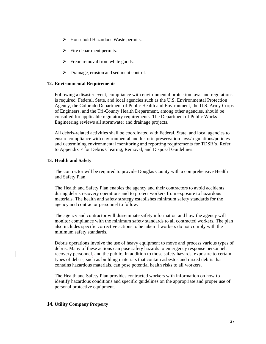- ➢ Household Hazardous Waste permits.
- $\triangleright$  Fire department permits.
- $\triangleright$  Freon removal from white goods.
- ➢ Drainage, erosion and sediment control.

#### **12. Environmental Requirements**

Following a disaster event, compliance with environmental protection laws and regulations is required. Federal, State, and local agencies such as the U.S. Environmental Protection Agency, the Colorado Department of Public Health and Environment, the U.S. Army Corps of Engineers, and the Tri-County Health Department, among other agencies, should be consulted for applicable regulatory requirements. The Department of Public Works Engineering reviews all stormwater and drainage projects.

All debris-related activities shall be coordinated with Federal, State, and local agencies to ensure compliance with environmental and historic preservation laws/regulations/policies and determining environmental monitoring and reporting requirements for TDSR's. Refer to Appendix F for Debris Clearing, Removal, and Disposal Guidelines.

#### **13. Health and Safety**

The contractor will be required to provide Douglas County with a comprehensive Health and Safety Plan.

The Health and Safety Plan enables the agency and their contractors to avoid accidents during debris recovery operations and to protect workers from exposure to hazardous materials. The health and safety strategy establishes minimum safety standards for the agency and contractor personnel to follow.

The agency and contractor will disseminate safety information and how the agency will monitor compliance with the minimum safety standards to all contracted workers. The plan also includes specific corrective actions to be taken if workers do not comply with the minimum safety standards.

Debris operations involve the use of heavy equipment to move and process various types of debris. Many of these actions can pose safety hazards to emergency response personnel, recovery personnel, and the public. In addition to those safety hazards, exposure to certain types of debris, such as building materials that contain asbestos and mixed debris that contains hazardous materials, can pose potential health risks to all workers.

The Health and Safety Plan provides contracted workers with information on how to identify hazardous conditions and specific guidelines on the appropriate and proper use of personal protective equipment.

#### **14. Utility Company Property**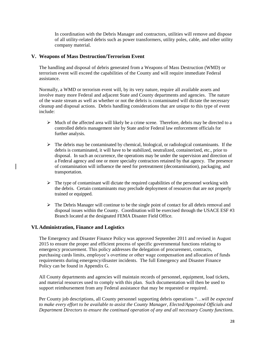In coordination with the Debris Manager and contractors, utilities will remove and dispose of all utility-related debris such as power transformers, utility poles, cable, and other utility company material.

## **V. Weapons of Mass Destruction/Terrorism Event**

The handling and disposal of debris generated from a Weapons of Mass Destruction (WMD) or terrorism event will exceed the capabilities of the County and will require immediate Federal assistance.

Normally, a WMD or terrorism event will, by its very nature, require all available assets and involve many more Federal and adjacent State and County departments and agencies. The nature of the waste stream as well as whether or not the debris is contaminated will dictate the necessary cleanup and disposal actions. Debris handling considerations that are unique to this type of event include:

- $\triangleright$  Much of the affected area will likely be a crime scene. Therefore, debris may be directed to a controlled debris management site by State and/or Federal law enforcement officials for further analysis.
- $\triangleright$  The debris may be contaminated by chemical, biological, or radiological contaminants. If the debris is contaminated, it will have to be stabilized, neutralized, containerized, etc., prior to disposal. In such an occurrence, the operations may be under the supervision and direction of a Federal agency and one or more specialty contractors retained by that agency. The presence of contamination will influence the need for pretreatment (decontamination), packaging, and transportation.
- $\triangleright$  The type of contaminant will dictate the required capabilities of the personnel working with the debris. Certain contaminants may preclude deployment of resources that are not properly trained or equipped.
- $\triangleright$  The Debris Manager will continue to be the single point of contact for all debris removal and disposal issues within the County. Coordination will be exercised through the USACE ESF #3 Branch located at the designated FEMA Disaster Field Office.

# **VI.Administration, Finance and Logistics**

The Emergency and Disaster Finance Policy was approved September 2011 and revised in August 2015 to ensure the proper and efficient process of specific governmental functions relating to emergency procurement. This policy addresses the delegation of procurement, contracts, purchasing cards limits, employee's overtime or other wage compensation and allocation of funds requirements during emergency/disaster incidents. The full Emergency and Disaster Finance Policy can be found in Appendix G.

All County departments and agencies will maintain records of personnel, equipment, load tickets, and material resources used to comply with this plan. Such documentation will then be used to support reimbursement from any Federal assistance that may be requested or required.

Per County job descriptions, all County personnel supporting debris operations "…*will be expected to make every effort to be available to assist the County Manager, Elected/Appointed Officials and Department Directors to ensure the continued operation of any and all necessary County functions.*